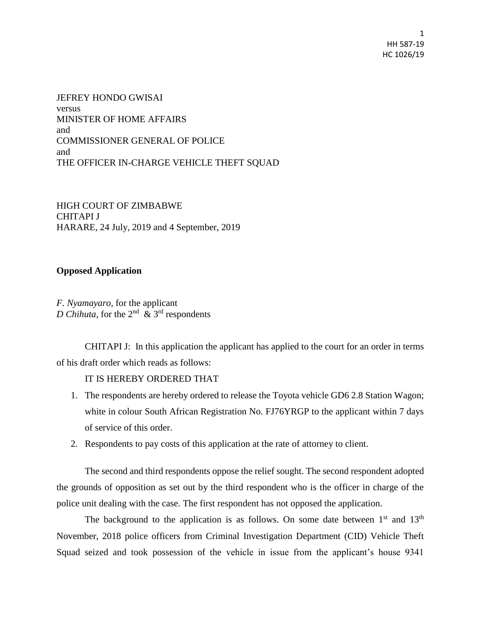1 HH 587-19 HC 1026/19

JEFREY HONDO GWISAI versus MINISTER OF HOME AFFAIRS and COMMISSIONER GENERAL OF POLICE and THE OFFICER IN-CHARGE VEHICLE THEFT SQUAD

HIGH COURT OF ZIMBABWE CHITAPI J HARARE, 24 July, 2019 and 4 September, 2019

## **Opposed Application**

*F. Nyamayaro*, for the applicant *D Chihuta*, for the  $2^{nd}$  &  $3^{rd}$  respondents

CHITAPI J: In this application the applicant has applied to the court for an order in terms of his draft order which reads as follows:

## IT IS HEREBY ORDERED THAT

- 1. The respondents are hereby ordered to release the Toyota vehicle GD6 2.8 Station Wagon; white in colour South African Registration No. FJ76YRGP to the applicant within 7 days of service of this order.
- 2. Respondents to pay costs of this application at the rate of attorney to client.

The second and third respondents oppose the relief sought. The second respondent adopted the grounds of opposition as set out by the third respondent who is the officer in charge of the police unit dealing with the case. The first respondent has not opposed the application.

The background to the application is as follows. On some date between  $1<sup>st</sup>$  and  $13<sup>th</sup>$ November, 2018 police officers from Criminal Investigation Department (CID) Vehicle Theft Squad seized and took possession of the vehicle in issue from the applicant's house 9341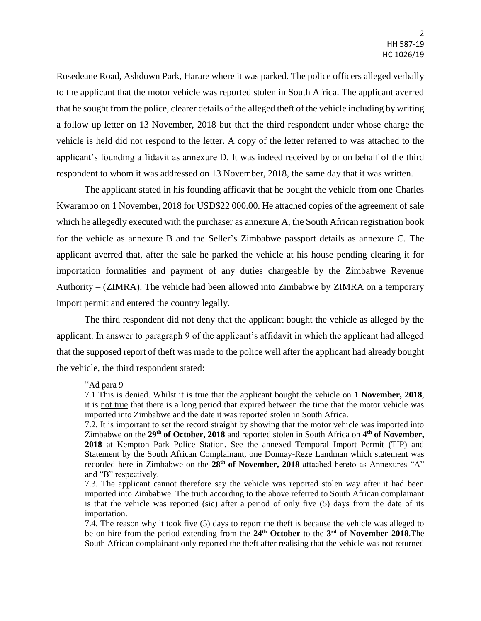Rosedeane Road, Ashdown Park, Harare where it was parked. The police officers alleged verbally to the applicant that the motor vehicle was reported stolen in South Africa. The applicant averred that he sought from the police, clearer details of the alleged theft of the vehicle including by writing a follow up letter on 13 November, 2018 but that the third respondent under whose charge the vehicle is held did not respond to the letter. A copy of the letter referred to was attached to the applicant's founding affidavit as annexure D. It was indeed received by or on behalf of the third respondent to whom it was addressed on 13 November, 2018, the same day that it was written.

The applicant stated in his founding affidavit that he bought the vehicle from one Charles Kwarambo on 1 November, 2018 for USD\$22 000.00. He attached copies of the agreement of sale which he allegedly executed with the purchaser as annexure A, the South African registration book for the vehicle as annexure B and the Seller's Zimbabwe passport details as annexure C. The applicant averred that, after the sale he parked the vehicle at his house pending clearing it for importation formalities and payment of any duties chargeable by the Zimbabwe Revenue Authority – (ZIMRA). The vehicle had been allowed into Zimbabwe by ZIMRA on a temporary import permit and entered the country legally.

The third respondent did not deny that the applicant bought the vehicle as alleged by the applicant. In answer to paragraph 9 of the applicant's affidavit in which the applicant had alleged that the supposed report of theft was made to the police well after the applicant had already bought the vehicle, the third respondent stated:

"Ad para 9

7.4. The reason why it took five (5) days to report the theft is because the vehicle was alleged to be on hire from the period extending from the **24th October** to the **3 rd of November 2018**.The South African complainant only reported the theft after realising that the vehicle was not returned

<sup>7.1</sup> This is denied. Whilst it is true that the applicant bought the vehicle on **1 November, 2018**, it is not true that there is a long period that expired between the time that the motor vehicle was imported into Zimbabwe and the date it was reported stolen in South Africa.

<sup>7.2.</sup> It is important to set the record straight by showing that the motor vehicle was imported into Zimbabwe on the **29th of October, 2018** and reported stolen in South Africa on **4 th of November, 2018** at Kempton Park Police Station. See the annexed Temporal Import Permit (TIP) and Statement by the South African Complainant, one Donnay-Reze Landman which statement was recorded here in Zimbabwe on the **28th of November, 2018** attached hereto as Annexures "A" and "B" respectively.

<sup>7.3.</sup> The applicant cannot therefore say the vehicle was reported stolen way after it had been imported into Zimbabwe. The truth according to the above referred to South African complainant is that the vehicle was reported (sic) after a period of only five (5) days from the date of its importation.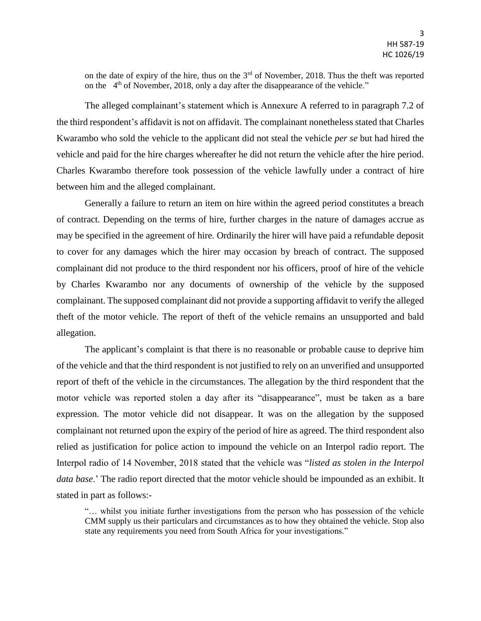on the date of expiry of the hire, thus on the  $3<sup>rd</sup>$  of November, 2018. Thus the theft was reported on the 4<sup>th</sup> of November, 2018, only a day after the disappearance of the vehicle."

The alleged complainant's statement which is Annexure A referred to in paragraph 7.2 of the third respondent's affidavit is not on affidavit. The complainant nonetheless stated that Charles Kwarambo who sold the vehicle to the applicant did not steal the vehicle *per se* but had hired the vehicle and paid for the hire charges whereafter he did not return the vehicle after the hire period. Charles Kwarambo therefore took possession of the vehicle lawfully under a contract of hire between him and the alleged complainant.

Generally a failure to return an item on hire within the agreed period constitutes a breach of contract. Depending on the terms of hire, further charges in the nature of damages accrue as may be specified in the agreement of hire. Ordinarily the hirer will have paid a refundable deposit to cover for any damages which the hirer may occasion by breach of contract. The supposed complainant did not produce to the third respondent nor his officers, proof of hire of the vehicle by Charles Kwarambo nor any documents of ownership of the vehicle by the supposed complainant. The supposed complainant did not provide a supporting affidavit to verify the alleged theft of the motor vehicle. The report of theft of the vehicle remains an unsupported and bald allegation.

The applicant's complaint is that there is no reasonable or probable cause to deprive him of the vehicle and that the third respondent is not justified to rely on an unverified and unsupported report of theft of the vehicle in the circumstances. The allegation by the third respondent that the motor vehicle was reported stolen a day after its "disappearance", must be taken as a bare expression. The motor vehicle did not disappear. It was on the allegation by the supposed complainant not returned upon the expiry of the period of hire as agreed. The third respondent also relied as justification for police action to impound the vehicle on an Interpol radio report. The Interpol radio of 14 November, 2018 stated that the vehicle was "*listed as stolen in the Interpol data base*.' The radio report directed that the motor vehicle should be impounded as an exhibit. It stated in part as follows:-

"… whilst you initiate further investigations from the person who has possession of the vehicle CMM supply us their particulars and circumstances as to how they obtained the vehicle. Stop also state any requirements you need from South Africa for your investigations."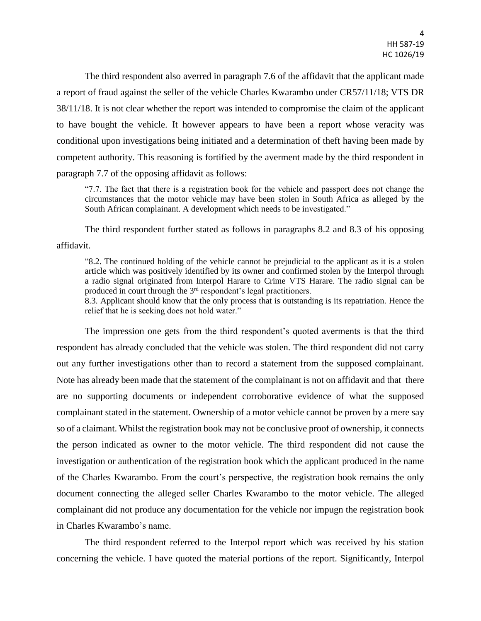The third respondent also averred in paragraph 7.6 of the affidavit that the applicant made a report of fraud against the seller of the vehicle Charles Kwarambo under CR57/11/18; VTS DR 38/11/18. It is not clear whether the report was intended to compromise the claim of the applicant to have bought the vehicle. It however appears to have been a report whose veracity was conditional upon investigations being initiated and a determination of theft having been made by competent authority. This reasoning is fortified by the averment made by the third respondent in paragraph 7.7 of the opposing affidavit as follows:

"7.7. The fact that there is a registration book for the vehicle and passport does not change the circumstances that the motor vehicle may have been stolen in South Africa as alleged by the South African complainant. A development which needs to be investigated."

The third respondent further stated as follows in paragraphs 8.2 and 8.3 of his opposing affidavit.

"8.2. The continued holding of the vehicle cannot be prejudicial to the applicant as it is a stolen article which was positively identified by its owner and confirmed stolen by the Interpol through a radio signal originated from Interpol Harare to Crime VTS Harare. The radio signal can be produced in court through the  $3<sup>rd</sup>$  respondent's legal practitioners.

8.3. Applicant should know that the only process that is outstanding is its repatriation. Hence the relief that he is seeking does not hold water."

The impression one gets from the third respondent's quoted averments is that the third respondent has already concluded that the vehicle was stolen. The third respondent did not carry out any further investigations other than to record a statement from the supposed complainant. Note has already been made that the statement of the complainant is not on affidavit and that there are no supporting documents or independent corroborative evidence of what the supposed complainant stated in the statement. Ownership of a motor vehicle cannot be proven by a mere say so of a claimant. Whilst the registration book may not be conclusive proof of ownership, it connects the person indicated as owner to the motor vehicle. The third respondent did not cause the investigation or authentication of the registration book which the applicant produced in the name of the Charles Kwarambo. From the court's perspective, the registration book remains the only document connecting the alleged seller Charles Kwarambo to the motor vehicle. The alleged complainant did not produce any documentation for the vehicle nor impugn the registration book in Charles Kwarambo's name.

The third respondent referred to the Interpol report which was received by his station concerning the vehicle. I have quoted the material portions of the report. Significantly, Interpol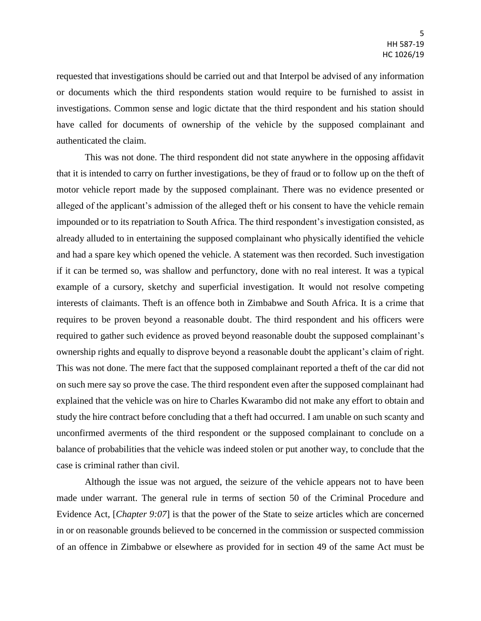requested that investigations should be carried out and that Interpol be advised of any information or documents which the third respondents station would require to be furnished to assist in investigations. Common sense and logic dictate that the third respondent and his station should have called for documents of ownership of the vehicle by the supposed complainant and authenticated the claim.

This was not done. The third respondent did not state anywhere in the opposing affidavit that it is intended to carry on further investigations, be they of fraud or to follow up on the theft of motor vehicle report made by the supposed complainant. There was no evidence presented or alleged of the applicant's admission of the alleged theft or his consent to have the vehicle remain impounded or to its repatriation to South Africa. The third respondent's investigation consisted, as already alluded to in entertaining the supposed complainant who physically identified the vehicle and had a spare key which opened the vehicle. A statement was then recorded. Such investigation if it can be termed so, was shallow and perfunctory, done with no real interest. It was a typical example of a cursory, sketchy and superficial investigation. It would not resolve competing interests of claimants. Theft is an offence both in Zimbabwe and South Africa. It is a crime that requires to be proven beyond a reasonable doubt. The third respondent and his officers were required to gather such evidence as proved beyond reasonable doubt the supposed complainant's ownership rights and equally to disprove beyond a reasonable doubt the applicant's claim of right. This was not done. The mere fact that the supposed complainant reported a theft of the car did not on such mere say so prove the case. The third respondent even after the supposed complainant had explained that the vehicle was on hire to Charles Kwarambo did not make any effort to obtain and study the hire contract before concluding that a theft had occurred. I am unable on such scanty and unconfirmed averments of the third respondent or the supposed complainant to conclude on a balance of probabilities that the vehicle was indeed stolen or put another way, to conclude that the case is criminal rather than civil.

Although the issue was not argued, the seizure of the vehicle appears not to have been made under warrant. The general rule in terms of section 50 of the Criminal Procedure and Evidence Act, [*Chapter 9:07*] is that the power of the State to seize articles which are concerned in or on reasonable grounds believed to be concerned in the commission or suspected commission of an offence in Zimbabwe or elsewhere as provided for in section 49 of the same Act must be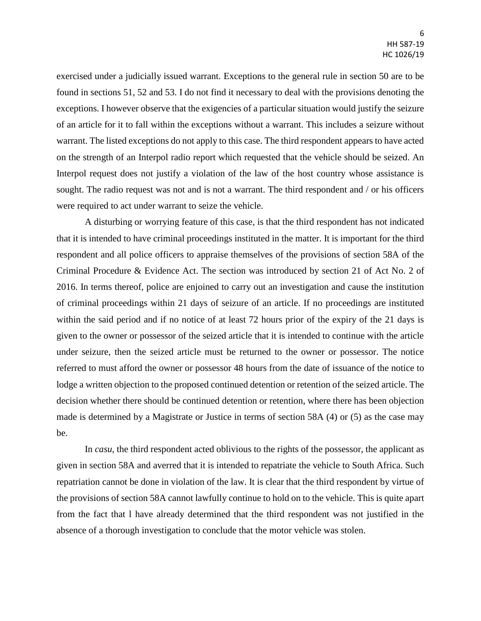exercised under a judicially issued warrant. Exceptions to the general rule in section 50 are to be found in sections 51, 52 and 53. I do not find it necessary to deal with the provisions denoting the exceptions. I however observe that the exigencies of a particular situation would justify the seizure of an article for it to fall within the exceptions without a warrant. This includes a seizure without warrant. The listed exceptions do not apply to this case. The third respondent appears to have acted on the strength of an Interpol radio report which requested that the vehicle should be seized. An Interpol request does not justify a violation of the law of the host country whose assistance is sought. The radio request was not and is not a warrant. The third respondent and / or his officers were required to act under warrant to seize the vehicle.

A disturbing or worrying feature of this case, is that the third respondent has not indicated that it is intended to have criminal proceedings instituted in the matter. It is important for the third respondent and all police officers to appraise themselves of the provisions of section 58A of the Criminal Procedure & Evidence Act. The section was introduced by section 21 of Act No. 2 of 2016. In terms thereof, police are enjoined to carry out an investigation and cause the institution of criminal proceedings within 21 days of seizure of an article. If no proceedings are instituted within the said period and if no notice of at least 72 hours prior of the expiry of the 21 days is given to the owner or possessor of the seized article that it is intended to continue with the article under seizure, then the seized article must be returned to the owner or possessor. The notice referred to must afford the owner or possessor 48 hours from the date of issuance of the notice to lodge a written objection to the proposed continued detention or retention of the seized article. The decision whether there should be continued detention or retention, where there has been objection made is determined by a Magistrate or Justice in terms of section 58A (4) or (5) as the case may be.

In *casu*, the third respondent acted oblivious to the rights of the possessor, the applicant as given in section 58A and averred that it is intended to repatriate the vehicle to South Africa. Such repatriation cannot be done in violation of the law. It is clear that the third respondent by virtue of the provisions of section 58A cannot lawfully continue to hold on to the vehicle. This is quite apart from the fact that l have already determined that the third respondent was not justified in the absence of a thorough investigation to conclude that the motor vehicle was stolen.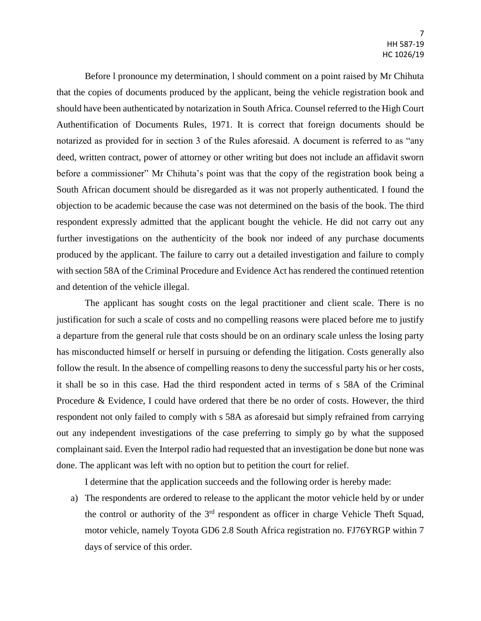Before l pronounce my determination, l should comment on a point raised by Mr Chihuta that the copies of documents produced by the applicant, being the vehicle registration book and should have been authenticated by notarization in South Africa. Counsel referred to the High Court Authentification of Documents Rules, 1971. It is correct that foreign documents should be notarized as provided for in section 3 of the Rules aforesaid. A document is referred to as "any deed, written contract, power of attorney or other writing but does not include an affidavit sworn before a commissioner" Mr Chihuta's point was that the copy of the registration book being a South African document should be disregarded as it was not properly authenticated. I found the objection to be academic because the case was not determined on the basis of the book. The third respondent expressly admitted that the applicant bought the vehicle. He did not carry out any further investigations on the authenticity of the book nor indeed of any purchase documents produced by the applicant. The failure to carry out a detailed investigation and failure to comply with section 58A of the Criminal Procedure and Evidence Act has rendered the continued retention and detention of the vehicle illegal.

The applicant has sought costs on the legal practitioner and client scale. There is no justification for such a scale of costs and no compelling reasons were placed before me to justify a departure from the general rule that costs should be on an ordinary scale unless the losing party has misconducted himself or herself in pursuing or defending the litigation. Costs generally also follow the result. In the absence of compelling reasons to deny the successful party his or her costs, it shall be so in this case. Had the third respondent acted in terms of s 58A of the Criminal Procedure & Evidence, I could have ordered that there be no order of costs. However, the third respondent not only failed to comply with s 58A as aforesaid but simply refrained from carrying out any independent investigations of the case preferring to simply go by what the supposed complainant said. Even the Interpol radio had requested that an investigation be done but none was done. The applicant was left with no option but to petition the court for relief.

I determine that the application succeeds and the following order is hereby made:

a) The respondents are ordered to release to the applicant the motor vehicle held by or under the control or authority of the  $3<sup>rd</sup>$  respondent as officer in charge Vehicle Theft Squad, motor vehicle, namely Toyota GD6 2.8 South Africa registration no. FJ76YRGP within 7 days of service of this order.